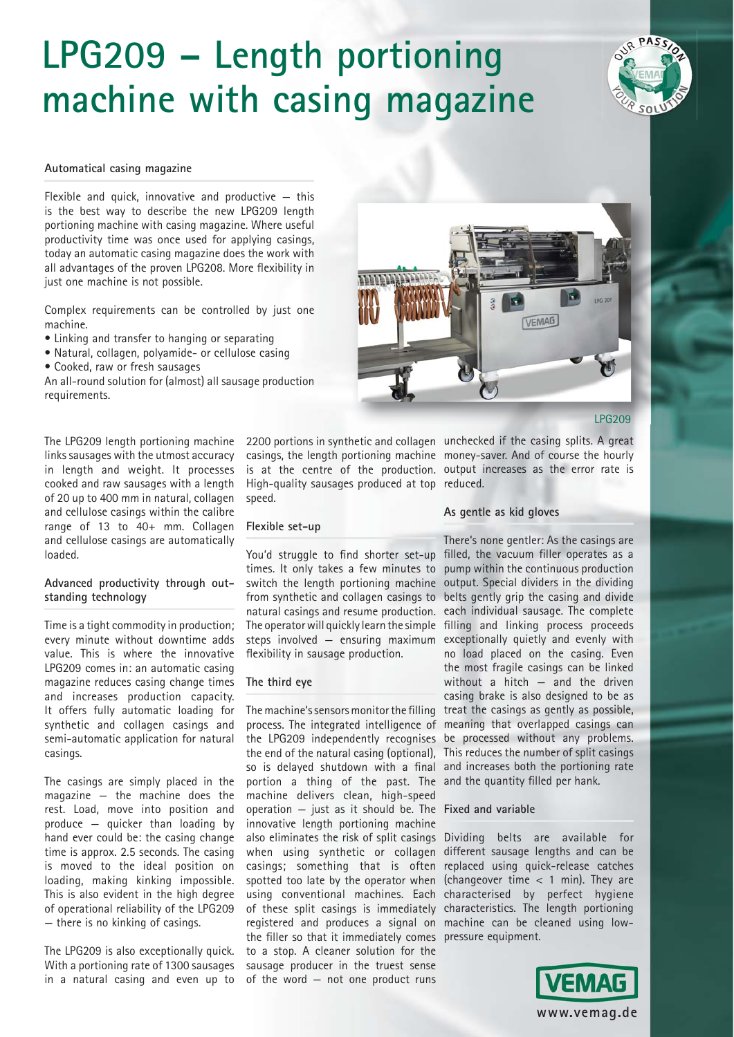# **LPG209 – Length portioning machine with casing magazine**

#### **Automatical casing magazine**

Flexible and quick, innovative and productive  $-$  this is the best way to describe the new LPG209 length portioning machine with casing magazine. Where useful productivity time was once used for applying casings, today an automatic casing magazine does the work with all advantages of the proven LPG208. More flexibility in just one machine is not possible.

Complex requirements can be controlled by just one machine.

- Linking and transfer to hanging or separating
- Natural, collagen, polyamide- or cellulose casing
- Cooked, raw or fresh sausages

An all-round solution for (almost) all sausage production requirements.

The LPG209 length portioning machine links sausages with the utmost accuracy in length and weight. It processes cooked and raw sausages with a length of 20 up to 400 mm in natural, collagen and cellulose casings within the calibre range of 13 to 40+ mm. Collagen and cellulose casings are automatically loaded.

#### **Advanced productivity through outstanding technology**

Time is a tight commodity in production; every minute without downtime adds value. This is where the innovative LPG209 comes in: an automatic casing magazine reduces casing change times and increases production capacity. It offers fully automatic loading for synthetic and collagen casings and semi-automatic application for natural casings.

The casings are simply placed in the magazine — the machine does the rest. Load, move into position and produce — quicker than loading by hand ever could be: the casing change time is approx. 2.5 seconds. The casing is moved to the ideal position on loading, making kinking impossible. This is also evident in the high degree of operational reliability of the LPG209 — there is no kinking of casings.

The LPG209 is also exceptionally quick. With a portioning rate of 1300 sausages in a natural casing and even up to

High-quality sausages produced at top reduced. speed.

#### **Flexible set-up**

You'd struggle to find shorter set-up filled, the vacuum filler operates as a times. It only takes a few minutes to pump within the continuous production switch the length portioning machine output. Special dividers in the dividing from synthetic and collagen casings to belts gently grip the casing and divide natural casings and resume production. each individual sausage. The complete The operator will quickly learn the simple filling and linking process proceeds steps involved — ensuring maximum exceptionally quietly and evenly with flexibility in sausage production.

#### **The third eye**

The machine's sensors monitor the filling treat the casings as gently as possible, process. The integrated intelligence of meaning that overlapped casings can the LPG209 independently recognises be processed without any problems. the end of the natural casing (optional), This reduces the number of split casings so is delayed shutdown with a final and increases both the portioning rate portion a thing of the past. The and the quantity filled per hank. machine delivers clean, high-speed operation — just as it should be. The **Fixed and variable** innovative length portioning machine also eliminates the risk of split casings Dividing belts are available for when using synthetic or collagen different sausage lengths and can be casings; something that is often replaced using quick-release catches spotted too late by the operator when (changeover time < 1 min). They are using conventional machines. Each characterised by perfect hygiene of these split casings is immediately characteristics. The length portioning registered and produces a signal on machine can be cleaned using lowthe filler so that it immediately comes pressure equipment. to a stop. A cleaner solution for the sausage producer in the truest sense of the word — not one product runs



LPG209

2200 portions in synthetic and collagen unchecked if the casing splits. A great casings, the length portioning machine money-saver. And of course the hourly is at the centre of the production. output increases as the error rate is

#### **As gentle as kid gloves**

There's none gentler: As the casings are no load placed on the casing. Even the most fragile casings can be linked without a hitch — and the driven casing brake is also designed to be as